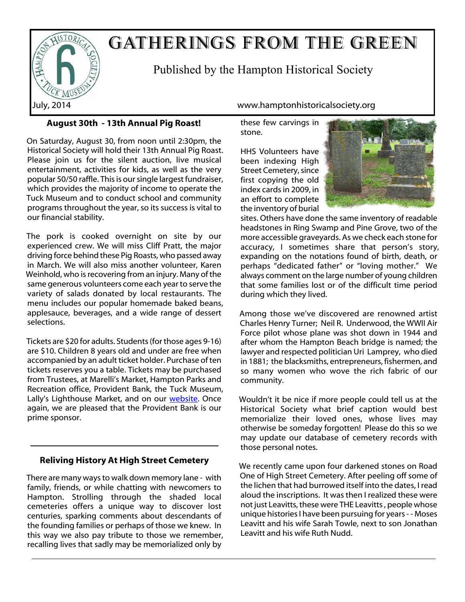

# GATHERINGS FROM THE GREEN

Published by the Hampton Historical Society

# **August 30th - 13th Annual Pig Roast!**

On Saturday, August 30, from noon until 2:30pm, the Historical Society will hold their 13th Annual Pig Roast. Please join us for the silent auction, live musical entertainment, activities for kids, as well as the very popular 50/50 raffle. This is our single largest fundraiser, which provides the majority of income to operate the Tuck Museum and to conduct school and community programs throughout the year, so its success is vital to our financial stability.

The pork is cooked overnight on site by our experienced crew. We will miss Cliff Pratt, the major driving force behind these Pig Roasts, who passed away in March. We will also miss another volunteer, Karen Weinhold, who is recovering from an injury. Many of the same generous volunteers come each year to serve the variety of salads donated by local restaurants. The menu includes our popular homemade baked beans, applesauce, beverages, and a wide range of dessert selections.

Tickets are \$20 for adults. Students (for those ages 9-16) are \$10. Children 8 years old and under are free when accompanied by an adult ticket holder. Purchase of ten tickets reserves you a table. Tickets may be purchased from Trustees, at Marelli's Market, Hampton Parks and Recreation office, Provident Bank, the Tuck Museum, Lally's Lighthouse Market, and on our [website](http://www.hamptonhistoricalsociety.org/pigroast.htm). Once again, we are pleased that the Provident Bank is our prime sponsor.

# **Reliving History At High Street Cemetery**

There are many ways to walk down memory lane - with family, friends, or while chatting with newcomers to Hampton. Strolling through the shaded local cemeteries offers a unique way to discover lost centuries, sparking comments about descendants of the founding families or perhaps of those we knew. In this way we also pay tribute to those we remember, recalling lives that sadly may be memorialized only by

July, 2014 www.hamptonhistoricalsociety.org

these few carvings in stone.

HHS Volunteers have been indexing High Street Cemetery, since first copying the old index cards in 2009, in an effort to complete the inventory of burial



sites. Others have done the same inventory of readable headstones in Ring Swamp and Pine Grove, two of the more accessible graveyards. As we check each stone for accuracy, I sometimes share that person's story, expanding on the notations found of birth, death, or perhaps "dedicated father" or "loving mother." We always comment on the large number of young children that some families lost or of the difficult time period during which they lived.

Among those we've discovered are renowned artist Charles Henry Turner; Neil R. Underwood, the WWII Air Force pilot whose plane was shot down in 1944 and after whom the Hampton Beach bridge is named; the lawyer and respected politician Uri Lamprey, who died in 1881; the blacksmiths, entrepreneurs, fishermen, and so many women who wove the rich fabric of our community.

Wouldn't it be nice if more people could tell us at the Historical Society what brief caption would best memorialize their loved ones, whose lives may otherwise be someday forgotten! Please do this so we may update our database of cemetery records with those personal notes.

We recently came upon four darkened stones on Road One of High Street Cemetery. After peeling off some of the lichen that had burrowed itself into the dates, I read aloud the inscriptions. It was then I realized these were not just Leavitts, these were THE Leavitts , people whose unique histories I have been pursuing for years - - Moses Leavitt and his wife Sarah Towle, next to son Jonathan Leavitt and his wife Ruth Nudd.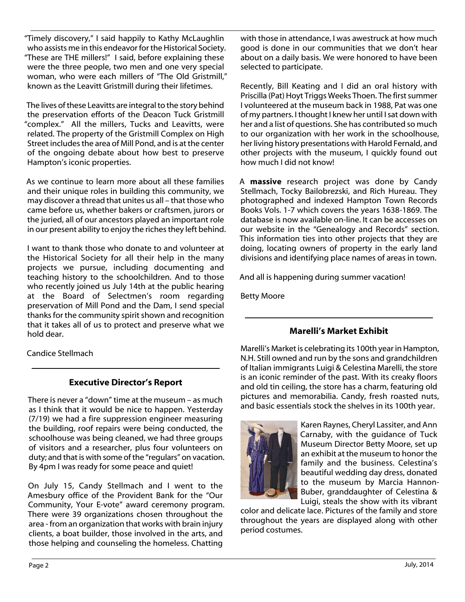"Timely discovery," I said happily to Kathy McLaughlin who assists me in this endeavor for the Historical Society. "These are THE millers!" I said, before explaining these were the three people, two men and one very special woman, who were each millers of "The Old Gristmill," known as the Leavitt Gristmill during their lifetimes.

The lives of these Leavitts are integral to the story behind the preservation efforts of the Deacon Tuck Gristmill "complex." All the millers, Tucks and Leavitts, were related. The property of the Gristmill Complex on High Street includes the area of Mill Pond, and is at the center of the ongoing debate about how best to preserve Hampton's iconic properties.

As we continue to learn more about all these families and their unique roles in building this community, we may discover a thread that unites us all – that those who came before us, whether bakers or craftsmen, jurors or the juried, all of our ancestors played an important role in our present ability to enjoy the riches they left behind.

I want to thank those who donate to and volunteer at the Historical Society for all their help in the many projects we pursue, including documenting and teaching history to the schoolchildren. And to those who recently joined us July 14th at the public hearing at the Board of Selectmen's room regarding preservation of Mill Pond and the Dam, I send special thanks for the community spirit shown and recognition that it takes all of us to protect and preserve what we hold dear.

Candice Stellmach

# **Executive Director's Report**

There is never a "down" time at the museum – as much as I think that it would be nice to happen. Yesterday (7/19) we had a fire suppression engineer measuring the building, roof repairs were being conducted, the schoolhouse was being cleaned, we had three groups of visitors and a researcher, plus four volunteers on duty; and that is with some of the "regulars" on vacation. By 4pm I was ready for some peace and quiet!

On July 15, Candy Stellmach and I went to the Amesbury office of the Provident Bank for the "Our Community, Your E-vote" award ceremony program. There were 39 organizations chosen throughout the area - from an organization that works with brain injury clients, a boat builder, those involved in the arts, and those helping and counseling the homeless. Chatting

with those in attendance, I was awestruck at how much good is done in our communities that we don't hear about on a daily basis. We were honored to have been selected to participate.

Recently, Bill Keating and I did an oral history with Priscilla (Pat) Hoyt Triggs Weeks Thoen. The first summer I volunteered at the museum back in 1988, Pat was one of my partners. I thought I knew her until I sat down with her and a list of questions. She has contributed so much to our organization with her work in the schoolhouse, her living history presentations with Harold Fernald, and other projects with the museum, I quickly found out how much I did not know!

A **massive** research project was done by Candy Stellmach, Tocky Bailobrezski, and Rich Hureau. They photographed and indexed Hampton Town Records Books Vols. 1-7 which covers the years 1638-1869. The database is now available on-line. It can be accesses on our website in the "Genealogy and Records" section. This information ties into other projects that they are doing, locating owners of property in the early land divisions and identifying place names of areas in town.

And all is happening during summer vacation!

Betty Moore

# **Marelli's Market Exhibit**

Marelli's Market is celebrating its 100th year in Hampton, N.H. Still owned and run by the sons and grandchildren of Italian immigrants Luigi & Celestina Marelli, the store is an iconic reminder of the past. With its creaky floors and old tin ceiling, the store has a charm, featuring old pictures and memorabilia. Candy, fresh roasted nuts, and basic essentials stock the shelves in its 100th year.



Karen Raynes, Cheryl Lassiter, and Ann Carnaby, with the guidance of Tuck Museum Director Betty Moore, set up an exhibit at the museum to honor the family and the business. Celestina's beautiful wedding day dress, donated to the museum by Marcia Hannon-Buber, granddaughter of Celestina & Luigi, steals the show with its vibrant

color and delicate lace. Pictures of the family and store throughout the years are displayed along with other period costumes.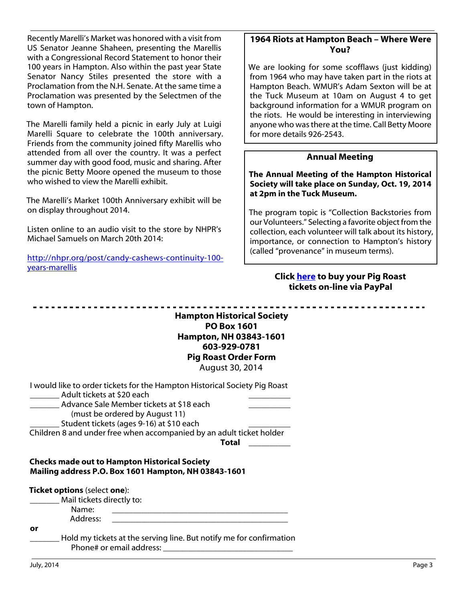Recently Marelli's Market was honored with a visit from US Senator Jeanne Shaheen, presenting the Marellis with a Congressional Record Statement to honor their 100 years in Hampton. Also within the past year State Senator Nancy Stiles presented the store with a Proclamation from the N.H. Senate. At the same time a Proclamation was presented by the Selectmen of the town of Hampton.

The Marelli family held a picnic in early July at Luigi Marelli Square to celebrate the 100th anniversary. Friends from the community joined fifty Marellis who attended from all over the country. It was a perfect summer day with good food, music and sharing. After the picnic Betty Moore opened the museum to those who wished to view the Marelli exhibit.

The Marelli's Market 100th Anniversary exhibit will be on display throughout 2014.

Listen online to an audio visit to the store by NHPR's Michael Samuels on March 20th 2014:

http://nhpr.org/post/candy-cashews-continuity-100 years-marellis

### **1964 Riots at Hampton Beach – Where Were You?**

We are looking for some scofflaws (just kidding) from 1964 who may have taken part in the riots at Hampton Beach. WMUR's Adam Sexton will be at the Tuck Museum at 10am on August 4 to get background information for a WMUR program on the riots. He would be interesting in interviewing anyone who was there at the time. Call Betty Moore for more details 926-2543.

#### **Annual Meeting**

**The Annual Meeting of the Hampton Historical Society will take place on Sunday, Oct. 19, 2014 at 2pm in the Tuck Museum.**

The program topic is "Collection Backstories from our Volunteers." Selecting a favorite object from the collection, each volunteer will talk about its history, importance, or connection to Hampton's history (called "provenance" in museum terms).

#### **Click [here](http://www.hamptonhistoricalsociety.org/pigroast.htm) to buy your Pig Roast tickets on-line via PayPal**

**Hampton Historical Society PO Box 1601 Hampton, NH 03843-1601 603-929-0781 Pig Roast Order Form** August 30, 2014

| I would like to order tickets for the Hampton Historical Society Pig Roast |  |
|----------------------------------------------------------------------------|--|
| Adult tickets at \$20 each                                                 |  |

Advance Sale Member tickets at \$18 each

(must be ordered by August 11)

Student tickets (ages 9-16) at \$10 each

Children 8 and under free when accompanied by an adult ticket holder

**Total** \_\_\_\_\_\_\_\_\_\_

#### **Checks made out to Hampton Historical Society Mailing address P.O. Box 1601 Hampton, NH 03843-1601**

| <b>Ticket options</b> (select one): |                                                                                                 |
|-------------------------------------|-------------------------------------------------------------------------------------------------|
| Mail tickets directly to:           |                                                                                                 |
| Name:                               |                                                                                                 |
| Address:                            |                                                                                                 |
| or                                  |                                                                                                 |
|                                     | Hold my tickets at the serving line. But notify me for confirmation<br>Phone# or email address: |